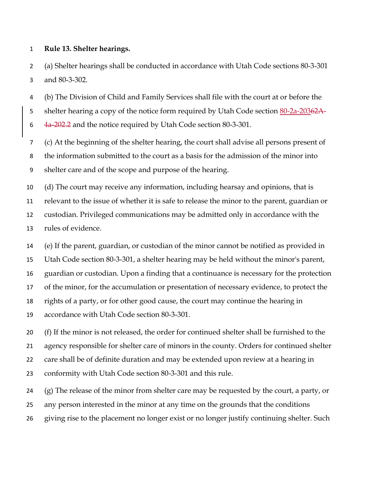## **Rule 13. Shelter hearings.**

 (a) Shelter hearings shall be conducted in accordance with Utah Code sections 80-3-301 and 80-3-302.

 (b) The Division of Child and Family Services shall file with the court at or before the 5 shelter hearing a copy of the notice form required by Utah Code section 80-2a-20362A-6 4a-202. and the notice required by Utah Code section 80-3-301.

 (c) At the beginning of the shelter hearing, the court shall advise all persons present of the information submitted to the court as a basis for the admission of the minor into shelter care and of the scope and purpose of the hearing.

 (d) The court may receive any information, including hearsay and opinions, that is relevant to the issue of whether it is safe to release the minor to the parent, guardian or custodian. Privileged communications may be admitted only in accordance with the rules of evidence.

 (e) If the parent, guardian, or custodian of the minor cannot be notified as provided in Utah Code section 80-3-301, a shelter hearing may be held without the minor's parent, guardian or custodian. Upon a finding that a continuance is necessary for the protection of the minor, for the accumulation or presentation of necessary evidence, to protect the rights of a party, or for other good cause, the court may continue the hearing in accordance with Utah Code section 80-3-301.

 (f) If the minor is not released, the order for continued shelter shall be furnished to the agency responsible for shelter care of minors in the county. Orders for continued shelter care shall be of definite duration and may be extended upon review at a hearing in conformity with Utah Code section 80-3-301 and this rule.

 (g) The release of the minor from shelter care may be requested by the court, a party, or any person interested in the minor at any time on the grounds that the conditions

giving rise to the placement no longer exist or no longer justify continuing shelter. Such